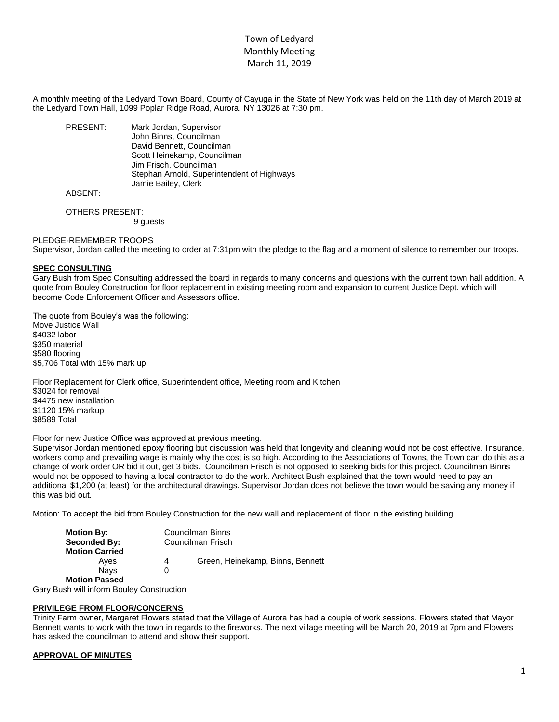# Town of Ledyard Monthly Meeting March 11, 2019

A monthly meeting of the Ledyard Town Board, County of Cayuga in the State of New York was held on the 11th day of March 2019 at the Ledyard Town Hall, 1099 Poplar Ridge Road, Aurora, NY 13026 at 7:30 pm.

PRESENT: Mark Jordan, Supervisor John Binns, Councilman David Bennett, Councilman Scott Heinekamp, Councilman Jim Frisch, Councilman Stephan Arnold, Superintendent of Highways Jamie Bailey, Clerk

## ABSENT:

OTHERS PRESENT: 9 guests

PLEDGE-REMEMBER TROOPS

Supervisor, Jordan called the meeting to order at 7:31pm with the pledge to the flag and a moment of silence to remember our troops.

#### **SPEC CONSULTING**

Gary Bush from Spec Consulting addressed the board in regards to many concerns and questions with the current town hall addition. A quote from Bouley Construction for floor replacement in existing meeting room and expansion to current Justice Dept. which will become Code Enforcement Officer and Assessors office.

The quote from Bouley's was the following: Move Justice Wall \$4032 labor \$350 material \$580 flooring \$5,706 Total with 15% mark up

Floor Replacement for Clerk office, Superintendent office, Meeting room and Kitchen \$3024 for removal \$4475 new installation \$1120 15% markup \$8589 Total

Floor for new Justice Office was approved at previous meeting.

Supervisor Jordan mentioned epoxy flooring but discussion was held that longevity and cleaning would not be cost effective. Insurance, workers comp and prevailing wage is mainly why the cost is so high. According to the Associations of Towns, the Town can do this as a change of work order OR bid it out, get 3 bids. Councilman Frisch is not opposed to seeking bids for this project. Councilman Binns would not be opposed to having a local contractor to do the work. Architect Bush explained that the town would need to pay an additional \$1,200 (at least) for the architectural drawings. Supervisor Jordan does not believe the town would be saving any money if this was bid out.

Motion: To accept the bid from Bouley Construction for the new wall and replacement of floor in the existing building.

| <b>Motion By:</b>     | <b>Councilman Binns</b> |                                  |  |
|-----------------------|-------------------------|----------------------------------|--|
| Seconded By:          | Councilman Frisch       |                                  |  |
| <b>Motion Carried</b> |                         |                                  |  |
| Ayes                  | 4                       | Green, Heinekamp, Binns, Bennett |  |
| <b>Navs</b>           |                         |                                  |  |
| <b>Motion Passed</b>  |                         |                                  |  |

Gary Bush will inform Bouley Construction

## **PRIVILEGE FROM FLOOR/CONCERNS**

Trinity Farm owner, Margaret Flowers stated that the Village of Aurora has had a couple of work sessions. Flowers stated that Mayor Bennett wants to work with the town in regards to the fireworks. The next village meeting will be March 20, 2019 at 7pm and Flowers has asked the councilman to attend and show their support.

## **APPROVAL OF MINUTES**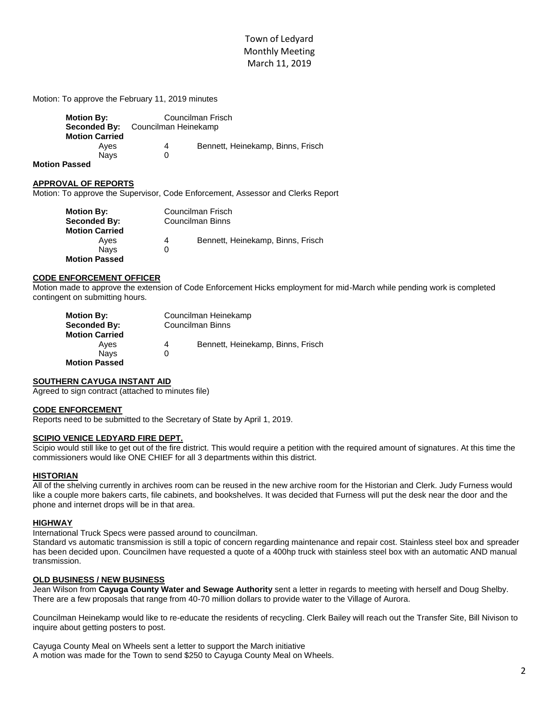# Town of Ledyard Monthly Meeting March 11, 2019

Motion: To approve the February 11, 2019 minutes

| <b>Motion By:</b><br>Seconded By: | Councilman Frisch<br>Councilman Heinekamp |                                   |
|-----------------------------------|-------------------------------------------|-----------------------------------|
| <b>Motion Carried</b>             |                                           |                                   |
| Ayes                              | 4                                         | Bennett, Heinekamp, Binns, Frisch |
| <b>Navs</b>                       |                                           |                                   |

**Motion Passed**

#### **APPROVAL OF REPORTS**

Motion: To approve the Supervisor, Code Enforcement, Assessor and Clerks Report

| <b>Motion By:</b>     |                  | Councilman Frisch                 |  |
|-----------------------|------------------|-----------------------------------|--|
| Seconded By:          | Councilman Binns |                                   |  |
| <b>Motion Carried</b> |                  |                                   |  |
| Aves                  | 4                | Bennett, Heinekamp, Binns, Frisch |  |
| <b>Navs</b>           |                  |                                   |  |
| <b>Motion Passed</b>  |                  |                                   |  |

## **CODE ENFORCEMENT OFFICER**

Motion made to approve the extension of Code Enforcement Hicks employment for mid-March while pending work is completed contingent on submitting hours.

| <b>Motion By:</b>     | Councilman Heinekamp    |                                   |  |
|-----------------------|-------------------------|-----------------------------------|--|
| Seconded By:          | <b>Councilman Binns</b> |                                   |  |
| <b>Motion Carried</b> |                         |                                   |  |
| Ayes                  | 4                       | Bennett, Heinekamp, Binns, Frisch |  |
| <b>Navs</b>           | O                       |                                   |  |
| <b>Motion Passed</b>  |                         |                                   |  |

# **SOUTHERN CAYUGA INSTANT AID**

Agreed to sign contract (attached to minutes file)

#### **CODE ENFORCEMENT**

Reports need to be submitted to the Secretary of State by April 1, 2019.

## **SCIPIO VENICE LEDYARD FIRE DEPT.**

Scipio would still like to get out of the fire district. This would require a petition with the required amount of signatures. At this time the commissioners would like ONE CHIEF for all 3 departments within this district.

#### **HISTORIAN**

All of the shelving currently in archives room can be reused in the new archive room for the Historian and Clerk. Judy Furness would like a couple more bakers carts, file cabinets, and bookshelves. It was decided that Furness will put the desk near the door and the phone and internet drops will be in that area.

#### **HIGHWAY**

International Truck Specs were passed around to councilman.

Standard vs automatic transmission is still a topic of concern regarding maintenance and repair cost. Stainless steel box and spreader has been decided upon. Councilmen have requested a quote of a 400hp truck with stainless steel box with an automatic AND manual transmission.

#### **OLD BUSINESS / NEW BUSINESS**

Jean Wilson from **Cayuga County Water and Sewage Authority** sent a letter in regards to meeting with herself and Doug Shelby. There are a few proposals that range from 40-70 million dollars to provide water to the Village of Aurora.

Councilman Heinekamp would like to re-educate the residents of recycling. Clerk Bailey will reach out the Transfer Site, Bill Nivison to inquire about getting posters to post.

Cayuga County Meal on Wheels sent a letter to support the March initiative A motion was made for the Town to send \$250 to Cayuga County Meal on Wheels.